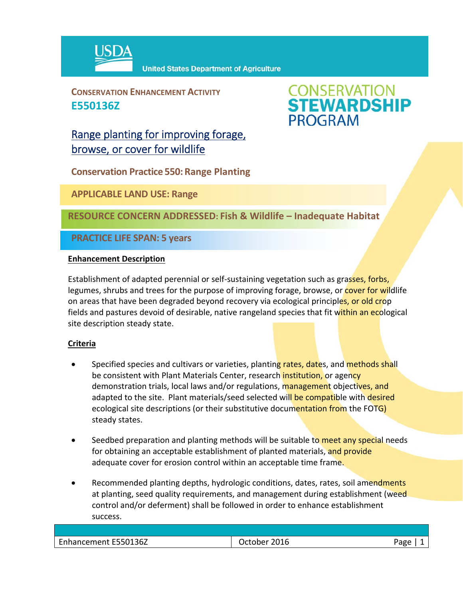

**United States Department of Agriculture** 

**CONSERVATION ENHANCEMENT ACTIVITY E550136Z**



Range planting for improving forage, browse, or cover for wildlife

**Conservation Practice 550: Range Planting**

**APPLICABLE LAND USE: Range**

**RESOURCE CONCERN ADDRESSED: Fish & Wildlife – Inadequate Habitat**

**PRACTICE LIFE SPAN: 5 years**

## **Enhancement Description**

Establishment of adapted perennial or self-sustaining vegetation such as grasses, forbs, legumes, shrubs and trees for the purpose of improving forage, browse, or cover for wildlife on areas that have been degraded beyond recovery via ecological principles, or old crop fields and pastures devoid of desirable, native rangeland species that fit within an ecological site description steady state.

## **Criteria**

- Specified species and cultivars or varieties, planting rates, dates, and methods shall be consistent with Plant Materials Center, research *institution*, or agency demonstration trials, local laws and/or regulations, management objectives, and adapted to the site. Plant materials/seed selected will be compatible with desired ecological site descriptions (or their substitutive documentation from the FOTG) steady states.
- Seedbed preparation and planting methods will be suitable to meet any special needs for obtaining an acceptable establishment of planted materials, and provide adequate cover for erosion control within an acceptable time frame.
- Recommended planting depths, hydrologic conditions, dates, rates, soil amendments at planting, seed quality requirements, and management during establishment (weed control and/or deferment) shall be followed in order to enhance establishment success.

| Enhancement E550136Z | 2016<br>)ctober | Page<br>-0 |
|----------------------|-----------------|------------|
|                      |                 |            |